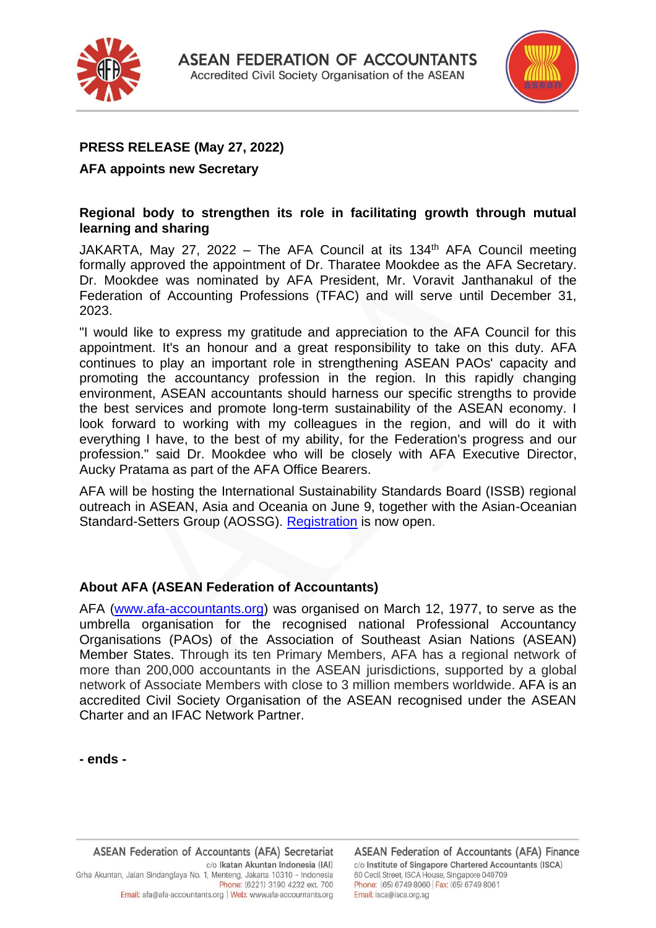



# **PRESS RELEASE (May 27, 2022)**

### **AFA appoints new Secretary**

### **Regional body to strengthen its role in facilitating growth through mutual learning and sharing**

JAKARTA, May 27, 2022 – The AFA Council at its 134<sup>th</sup> AFA Council meeting formally approved the appointment of Dr. Tharatee Mookdee as the AFA Secretary. Dr. Mookdee was nominated by AFA President, Mr. Voravit Janthanakul of the Federation of Accounting Professions (TFAC) and will serve until December 31, 2023.

"I would like to express my gratitude and appreciation to the AFA Council for this appointment. It's an honour and a great responsibility to take on this duty. AFA continues to play an important role in strengthening ASEAN PAOs' capacity and promoting the accountancy profession in the region. In this rapidly changing environment, ASEAN accountants should harness our specific strengths to provide the best services and promote long-term sustainability of the ASEAN economy. I look forward to working with my colleagues in the region, and will do it with everything I have, to the best of my ability, for the Federation's progress and our profession." said Dr. Mookdee who will be closely with AFA Executive Director, Aucky Pratama as part of the AFA Office Bearers.

AFA will be hosting the International Sustainability Standards Board (ISSB) regional outreach in ASEAN, Asia and Oceania on June 9, together with the Asian-Oceanian Standard-Setters Group (AOSSG). [Registration](https://us02web.zoom.us/webinar/register/WN_gPOJq57qRL-Q18a4i0cTqA) is now open.

### **About AFA (ASEAN Federation of Accountants)**

AFA [\(www.afa-accountants.org\)](http://www.afa-accountants.org/) was organised on March 12, 1977, to serve as the umbrella organisation for the recognised national Professional Accountancy Organisations (PAOs) of the Association of Southeast Asian Nations (ASEAN) Member States. Through its ten Primary Members, AFA has a regional network of more than 200,000 accountants in the ASEAN jurisdictions, supported by a global network of Associate Members with close to 3 million members worldwide. AFA is an accredited Civil Society Organisation of the ASEAN recognised under the ASEAN Charter and an IFAC Network Partner.

**- ends -**